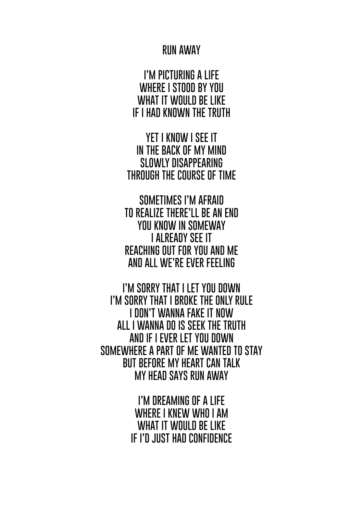## **RUN AWAY**

**I'M PICTURING A LIFE WHERE I STOOD BY YOU WHAT IT WOULD BE LIKE IF I HAD KNOWN THE TRUTH**

**YET I KNOW I SEE IT IN THE BACK OF MY MIND SLOWLY DISAPPEARING THROUGH THE COURSE OF TIME**

**SOMETIMES I'M AFRAID TO REALIZE THERE'LL BE AN END YOU KNOW IN SOMEWAY I ALREADY SEE IT REACHING OUT FOR YOU AND ME AND ALL WE'RE EVER FEELING**

**I'M SORRY THAT I LET YOU DOWN I'M SORRY THAT I BROKE THE ONLY RULE I DON'T WANNA FAKE IT NOW ALL I WANNA DO IS SEEK THE TRUTH AND IF I EVER LET YOU DOWN SOMEWHERE A PART OF ME WANTED TO STAY BUT BEFORE MY HEART CAN TALK MY HEAD SAYS RUN AWAY**

> **I'M DREAMING OF A LIFE WHERE I KNEW WHO I AM WHAT IT WOULD BE LIKE IF I'D JUST HAD CONFIDENCE**